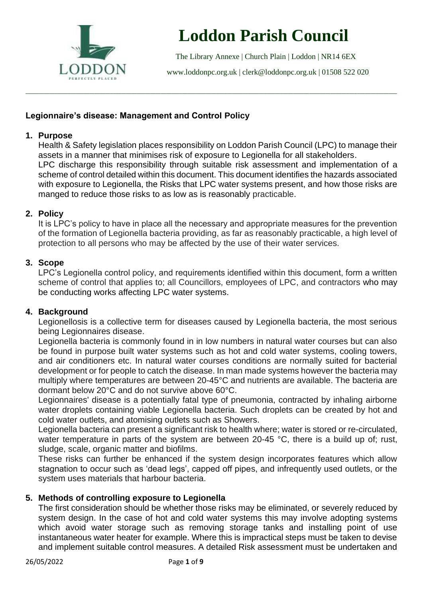

# **Loddon Parish Council**

The Library Annexe | Church Plain | Loddon | NR14 6EX

[www.loddonpc.org.uk](http://www.loddonpc.org.uk/) | [clerk@loddonpc.org.uk](mailto:clerk@loddonpc.org.uk) | 01508 522 020

## **Legionnaire's disease: Management and Control Policy**

## **1. Purpose**

Health & Safety legislation places responsibility on Loddon Parish Council (LPC) to manage their assets in a manner that minimises risk of exposure to Legionella for all stakeholders. LPC discharge this responsibility through suitable risk assessment and implementation of a scheme of control detailed within this document. This document identifies the hazards associated with exposure to Legionella, the Risks that LPC water systems present, and how those risks are manged to reduce those risks to as low as is reasonably practicable.

\_\_\_\_\_\_\_\_\_\_\_\_\_\_\_\_\_\_\_\_\_\_\_\_\_\_\_\_\_\_\_\_\_\_\_\_\_\_\_\_\_\_\_\_\_\_\_\_\_\_\_\_\_\_\_\_\_\_\_\_\_\_\_\_\_\_\_\_\_\_\_\_\_\_\_\_\_\_\_\_\_\_\_\_\_\_\_\_\_\_\_\_\_\_\_\_\_\_\_\_\_\_\_\_\_\_\_\_\_\_\_\_\_\_\_\_\_\_\_\_\_\_\_\_\_\_\_\_\_\_\_\_\_\_\_\_\_\_\_\_

## **2. Policy**

It is LPC's policy to have in place all the necessary and appropriate measures for the prevention of the formation of Legionella bacteria providing, as far as reasonably practicable, a high level of protection to all persons who may be affected by the use of their water services.

#### **3. Scope**

LPC's Legionella control policy, and requirements identified within this document, form a written scheme of control that applies to; all Councillors, employees of LPC, and contractors who may be conducting works affecting LPC water systems.

#### **4. Background**

Legionellosis is a collective term for diseases caused by Legionella bacteria, the most serious being Legionnaires disease.

Legionella bacteria is commonly found in in low numbers in natural water courses but can also be found in purpose built water systems such as hot and cold water systems, cooling towers, and air conditioners etc. In natural water courses conditions are normally suited for bacterial development or for people to catch the disease. In man made systems however the bacteria may multiply where temperatures are between 20-45°C and nutrients are available. The bacteria are dormant below 20°C and do not survive above 60°C.

Legionnaires' disease is a potentially fatal type of pneumonia, contracted by inhaling airborne water droplets containing viable Legionella bacteria. Such droplets can be created by hot and cold water outlets, and atomising outlets such as Showers.

Legionella bacteria can present a significant risk to health where; water is stored or re-circulated, water temperature in parts of the system are between 20-45 °C, there is a build up of: rust, sludge, scale, organic matter and biofilms.

These risks can further be enhanced if the system design incorporates features which allow stagnation to occur such as 'dead legs', capped off pipes, and infrequently used outlets, or the system uses materials that harbour bacteria.

## **5. Methods of controlling exposure to Legionella**

The first consideration should be whether those risks may be eliminated, or severely reduced by system design. In the case of hot and cold water systems this may involve adopting systems which avoid water storage such as removing storage tanks and installing point of use instantaneous water heater for example. Where this is impractical steps must be taken to devise and implement suitable control measures. A detailed Risk assessment must be undertaken and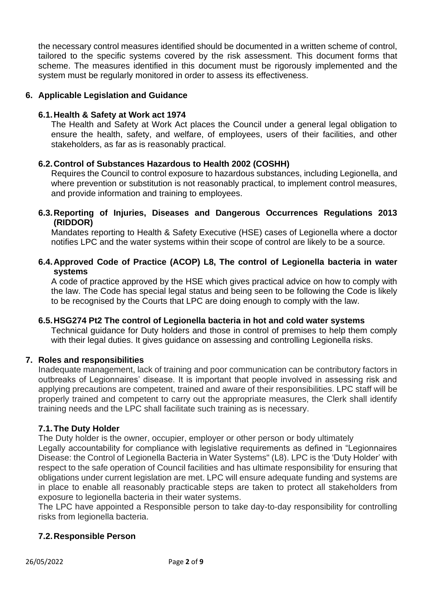the necessary control measures identified should be documented in a written scheme of control, tailored to the specific systems covered by the risk assessment. This document forms that scheme. The measures identified in this document must be rigorously implemented and the system must be regularly monitored in order to assess its effectiveness.

#### **6. Applicable Legislation and Guidance**

#### **6.1.Health & Safety at Work act 1974**

The Health and Safety at Work Act places the Council under a general legal obligation to ensure the health, safety, and welfare, of employees, users of their facilities, and other stakeholders, as far as is reasonably practical.

#### **6.2.Control of Substances Hazardous to Health 2002 (COSHH)**

Requires the Council to control exposure to hazardous substances, including Legionella, and where prevention or substitution is not reasonably practical, to implement control measures, and provide information and training to employees.

**6.3.Reporting of Injuries, Diseases and Dangerous Occurrences Regulations 2013 (RIDDOR)**

Mandates reporting to Health & Safety Executive (HSE) cases of Legionella where a doctor notifies LPC and the water systems within their scope of control are likely to be a source.

#### **6.4.Approved Code of Practice (ACOP) L8, The control of Legionella bacteria in water systems**

A code of practice approved by the HSE which gives practical advice on how to comply with the law. The Code has special legal status and being seen to be following the Code is likely to be recognised by the Courts that LPC are doing enough to comply with the law.

#### **6.5.HSG274 Pt2 The control of Legionella bacteria in hot and cold water systems**

Technical guidance for Duty holders and those in control of premises to help them comply with their legal duties. It gives guidance on assessing and controlling Legionella risks.

#### **7. Roles and responsibilities**

Inadequate management, lack of training and poor communication can be contributory factors in outbreaks of Legionnaires' disease. It is important that people involved in assessing risk and applying precautions are competent, trained and aware of their responsibilities. LPC staff will be properly trained and competent to carry out the appropriate measures, the Clerk shall identify training needs and the LPC shall facilitate such training as is necessary.

#### **7.1.The Duty Holder**

The Duty holder is the owner, occupier, employer or other person or body ultimately Legally accountability for compliance with legislative requirements as defined in "Legionnaires Disease: the Control of Legionella Bacteria in Water Systems" (L8). LPC is the 'Duty Holder' with respect to the safe operation of Council facilities and has ultimate responsibility for ensuring that obligations under current legislation are met. LPC will ensure adequate funding and systems are in place to enable all reasonably practicable steps are taken to protect all stakeholders from exposure to legionella bacteria in their water systems.

The LPC have appointed a Responsible person to take day-to-day responsibility for controlling risks from legionella bacteria.

## **7.2.Responsible Person**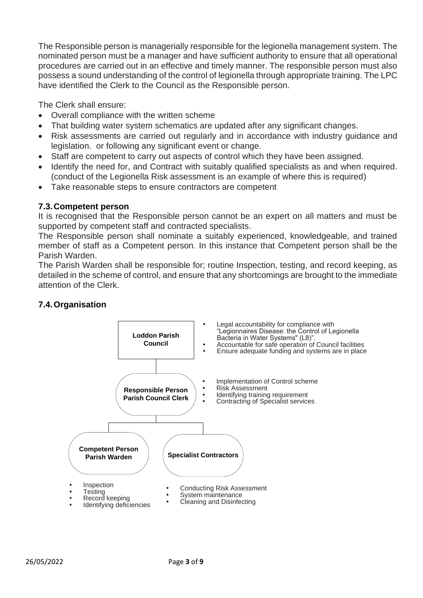The Responsible person is managerially responsible for the legionella management system. The nominated person must be a manager and have sufficient authority to ensure that all operational procedures are carried out in an effective and timely manner. The responsible person must also possess a sound understanding of the control of legionella through appropriate training. The LPC have identified the Clerk to the Council as the Responsible person.

The Clerk shall ensure:

- Overall compliance with the written scheme
- That building water system schematics are updated after any significant changes.
- Risk assessments are carried out regularly and in accordance with industry guidance and legislation. or following any significant event or change.
- Staff are competent to carry out aspects of control which they have been assigned.
- Identify the need for, and Contract with suitably qualified specialists as and when required. (conduct of the Legionella Risk assessment is an example of where this is required)
- Take reasonable steps to ensure contractors are competent

#### **7.3.Competent person**

It is recognised that the Responsible person cannot be an expert on all matters and must be supported by competent staff and contracted specialists.

The Responsible person shall nominate a suitably experienced, knowledgeable, and trained member of staff as a Competent person. In this instance that Competent person shall be the Parish Warden.

The Parish Warden shall be responsible for; routine Inspection, testing, and record keeping, as detailed in the scheme of control, and ensure that any shortcomings are brought to the immediate attention of the Clerk.



## **7.4.Organisation**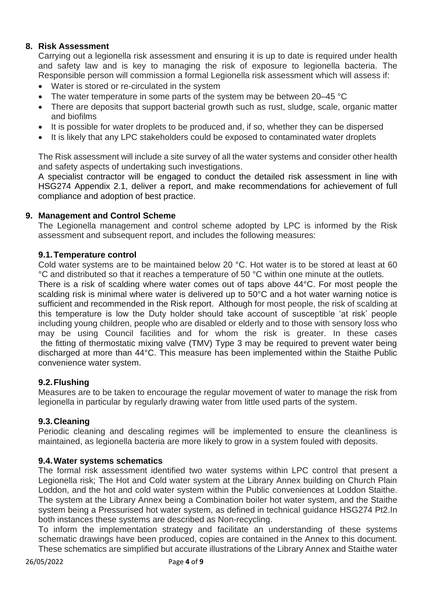## **8. Risk Assessment**

Carrying out a legionella risk assessment and ensuring it is up to date is required under health and safety law and is key to managing the risk of exposure to legionella bacteria. The Responsible person will commission a formal Legionella risk assessment which will assess if:

- Water is stored or re-circulated in the system
- The water temperature in some parts of the system may be between 20–45 °C
- There are deposits that support bacterial growth such as rust, sludge, scale, organic matter and biofilms
- It is possible for water droplets to be produced and, if so, whether they can be dispersed
- It is likely that any LPC stakeholders could be exposed to contaminated water droplets

The Risk assessment will include a site survey of all the water systems and consider other health and safety aspects of undertaking such investigations.

A specialist contractor will be engaged to conduct the detailed risk assessment in line with HSG274 Appendix 2.1, deliver a report, and make recommendations for achievement of full compliance and adoption of best practice.

#### **9. Management and Control Scheme**

The Legionella management and control scheme adopted by LPC is informed by the Risk assessment and subsequent report, and includes the following measures:

#### **9.1.Temperature control**

Cold water systems are to be maintained below 20 °C. Hot water is to be stored at least at 60 °C and distributed so that it reaches a temperature of 50 °C within one minute at the outlets.

There is a risk of scalding where water comes out of taps above 44°C. For most people the scalding risk is minimal where water is delivered up to 50°C and a hot water warning notice is sufficient and recommended in the Risk report. Although for most people, the risk of scalding at this temperature is low the Duty holder should take account of susceptible 'at risk' people including young children, people who are disabled or elderly and to those with sensory loss who may be using Council facilities and for whom the risk is greater. In these cases the fitting of thermostatic mixing valve (TMV) Type 3 may be required to prevent water being discharged at more than 44°C. This measure has been implemented within the Staithe Public convenience water system.

#### **9.2.Flushing**

Measures are to be taken to encourage the regular movement of water to manage the risk from legionella in particular by regularly drawing water from little used parts of the system.

#### **9.3.Cleaning**

Periodic cleaning and descaling regimes will be implemented to ensure the cleanliness is maintained, as legionella bacteria are more likely to grow in a system fouled with deposits.

#### **9.4.Water systems schematics**

The formal risk assessment identified two water systems within LPC control that present a Legionella risk; The Hot and Cold water system at the Library Annex building on Church Plain Loddon, and the hot and cold water system within the Public conveniences at Loddon Staithe. The system at the Library Annex being a Combination boiler hot water system, and the Staithe system being a Pressurised hot water system, as defined in technical guidance HSG274 Pt2.In both instances these systems are described as Non-recycling.

To inform the implementation strategy and facilitate an understanding of these systems schematic drawings have been produced, copies are contained in the Annex to this document. These schematics are simplified but accurate illustrations of the Library Annex and Staithe water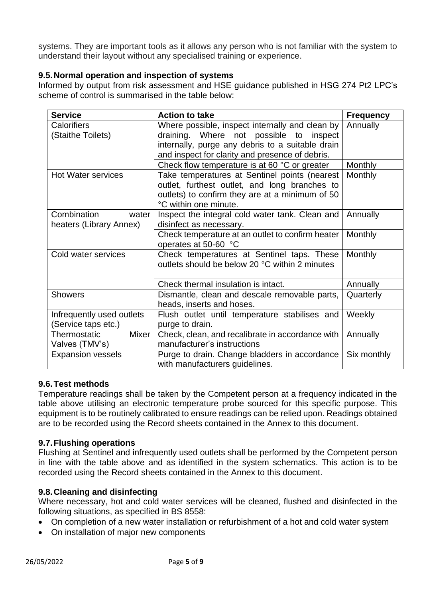systems. They are important tools as it allows any person who is not familiar with the system to understand their layout without any specialised training or experience.

## **9.5.Normal operation and inspection of systems**

Informed by output from risk assessment and HSE guidance published in HSG 274 Pt2 LPC's scheme of control is summarised in the table below:

| <b>Service</b>            | <b>Action to take</b>                            | <b>Frequency</b> |
|---------------------------|--------------------------------------------------|------------------|
| <b>Calorifiers</b>        | Where possible, inspect internally and clean by  | Annually         |
| (Staithe Toilets)         | draining. Where not possible to inspect          |                  |
|                           | internally, purge any debris to a suitable drain |                  |
|                           | and inspect for clarity and presence of debris.  |                  |
|                           | Check flow temperature is at 60 °C or greater    | <b>Monthly</b>   |
| <b>Hot Water services</b> | Take temperatures at Sentinel points (nearest    | <b>Monthly</b>   |
|                           | outlet, furthest outlet, and long branches to    |                  |
|                           | outlets) to confirm they are at a minimum of 50  |                  |
|                           | °C within one minute.                            |                  |
| Combination<br>water      | Inspect the integral cold water tank. Clean and  | Annually         |
| heaters (Library Annex)   | disinfect as necessary.                          |                  |
|                           | Check temperature at an outlet to confirm heater | <b>Monthly</b>   |
|                           | operates at 50-60 °C                             |                  |
| Cold water services       | Check temperatures at Sentinel taps. These       | <b>Monthly</b>   |
|                           | outlets should be below 20 °C within 2 minutes   |                  |
|                           |                                                  |                  |
|                           | Check thermal insulation is intact.              | Annually         |
| <b>Showers</b>            | Dismantle, clean and descale removable parts,    | Quarterly        |
|                           | heads, inserts and hoses.                        |                  |
| Infrequently used outlets | Flush outlet until temperature stabilises and    | Weekly           |
| (Service taps etc.)       | purge to drain.                                  |                  |
| Mixer<br>Thermostatic     | Check, clean, and recalibrate in accordance with | Annually         |
| Valves (TMV's)            | manufacturer's instructions                      |                  |
| <b>Expansion vessels</b>  | Purge to drain. Change bladders in accordance    | Six monthly      |
|                           | with manufacturers guidelines.                   |                  |

## **9.6.Test methods**

Temperature readings shall be taken by the Competent person at a frequency indicated in the table above utilising an electronic temperature probe sourced for this specific purpose. This equipment is to be routinely calibrated to ensure readings can be relied upon. Readings obtained are to be recorded using the Record sheets contained in the Annex to this document.

## **9.7.Flushing operations**

Flushing at Sentinel and infrequently used outlets shall be performed by the Competent person in line with the table above and as identified in the system schematics. This action is to be recorded using the Record sheets contained in the Annex to this document.

## **9.8.Cleaning and disinfecting**

Where necessary, hot and cold water services will be cleaned, flushed and disinfected in the following situations, as specified in BS 8558:

- On completion of a new water installation or refurbishment of a hot and cold water system
- On installation of major new components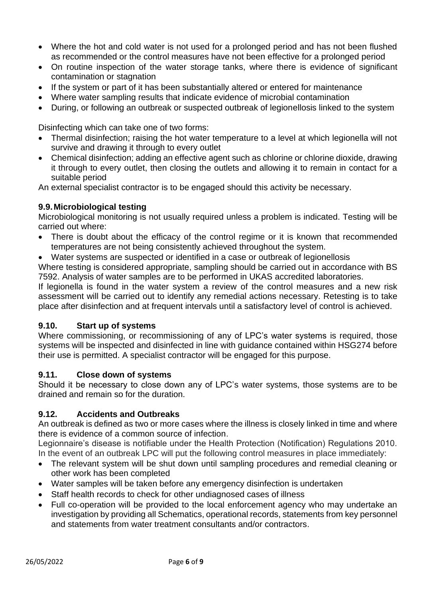- Where the hot and cold water is not used for a prolonged period and has not been flushed as recommended or the control measures have not been effective for a prolonged period
- On routine inspection of the water storage tanks, where there is evidence of significant contamination or stagnation
- If the system or part of it has been substantially altered or entered for maintenance
- Where water sampling results that indicate evidence of microbial contamination
- During, or following an outbreak or suspected outbreak of legionellosis linked to the system

Disinfecting which can take one of two forms:

- Thermal disinfection; raising the hot water temperature to a level at which legionella will not survive and drawing it through to every outlet
- Chemical disinfection; adding an effective agent such as chlorine or chlorine dioxide, drawing it through to every outlet, then closing the outlets and allowing it to remain in contact for a suitable period

An external specialist contractor is to be engaged should this activity be necessary.

#### **9.9.Microbiological testing**

Microbiological monitoring is not usually required unless a problem is indicated. Testing will be carried out where:

- There is doubt about the efficacy of the control regime or it is known that recommended temperatures are not being consistently achieved throughout the system.
- Water systems are suspected or identified in a case or outbreak of legionellosis

Where testing is considered appropriate, sampling should be carried out in accordance with BS 7592. Analysis of water samples are to be performed in UKAS accredited laboratories.

If legionella is found in the water system a review of the control measures and a new risk assessment will be carried out to identify any remedial actions necessary. Retesting is to take place after disinfection and at frequent intervals until a satisfactory level of control is achieved.

#### **9.10. Start up of systems**

Where commissioning, or recommissioning of any of LPC's water systems is required, those systems will be inspected and disinfected in line with guidance contained within HSG274 before their use is permitted. A specialist contractor will be engaged for this purpose.

#### **9.11. Close down of systems**

Should it be necessary to close down any of LPC's water systems, those systems are to be drained and remain so for the duration.

## **9.12. Accidents and Outbreaks**

An outbreak is defined as two or more cases where the illness is closely linked in time and where there is evidence of a common source of infection.

Legionnaire's disease is notifiable under the Health Protection (Notification) Regulations 2010. In the event of an outbreak LPC will put the following control measures in place immediately:

- The relevant system will be shut down until sampling procedures and remedial cleaning or other work has been completed
- Water samples will be taken before any emergency disinfection is undertaken
- Staff health records to check for other undiagnosed cases of illness
- Full co-operation will be provided to the local enforcement agency who may undertake an investigation by providing all Schematics, operational records, statements from key personnel and statements from water treatment consultants and/or contractors.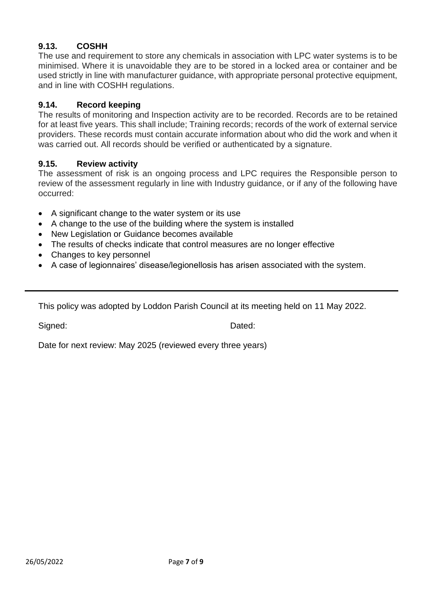## **9.13. COSHH**

The use and requirement to store any chemicals in association with LPC water systems is to be minimised. Where it is unavoidable they are to be stored in a locked area or container and be used strictly in line with manufacturer guidance, with appropriate personal protective equipment, and in line with COSHH regulations.

#### **9.14. Record keeping**

The results of monitoring and Inspection activity are to be recorded. Records are to be retained for at least five years. This shall include; Training records; records of the work of external service providers. These records must contain accurate information about who did the work and when it was carried out. All records should be verified or authenticated by a signature.

#### **9.15. Review activity**

The assessment of risk is an ongoing process and LPC requires the Responsible person to review of the assessment regularly in line with Industry guidance, or if any of the following have occurred:

- A significant change to the water system or its use
- A change to the use of the building where the system is installed
- New Legislation or Guidance becomes available
- The results of checks indicate that control measures are no longer effective
- Changes to key personnel
- A case of legionnaires' disease/legionellosis has arisen associated with the system.

This policy was adopted by Loddon Parish Council at its meeting held on 11 May 2022.

Signed: Dated:

Date for next review: May 2025 (reviewed every three years)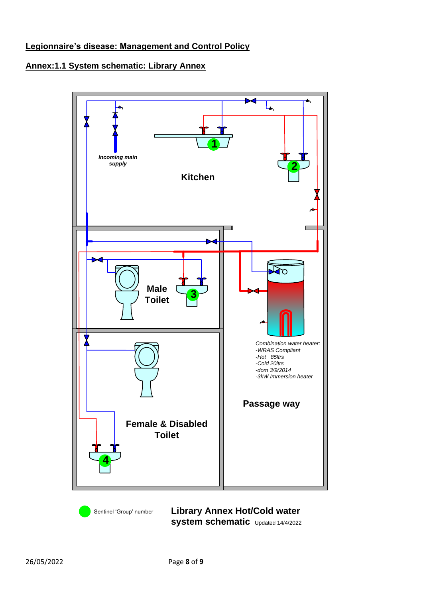## **Legionnaire's disease: Management and Control Policy**

## **Annex:1.1 System schematic: Library Annex**



**Library Annex Hot/Cold water system schematic** Updated 14/4/2022

Sentinel 'Group' number